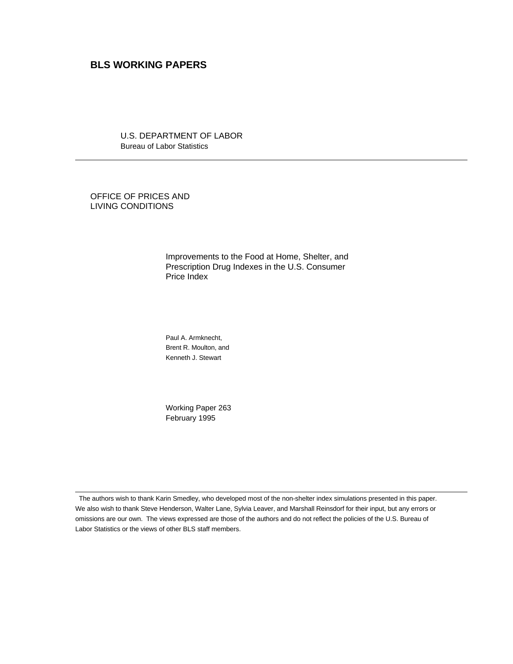# **BLS WORKING PAPERS**

U.S. DEPARTMENT OF LABOR Bureau of Labor Statistics

OFFICE OF PRICES AND LIVING CONDITIONS

 $\overline{a}$ 

 $\overline{a}$ 

Improvements to the Food at Home, Shelter, and Prescription Drug Indexes in the U.S. Consumer Price Index

Paul A. Armknecht, Brent R. Moulton, and Kenneth J. Stewart

Working Paper 263 February 1995

 The authors wish to thank Karin Smedley, who developed most of the non-shelter index simulations presented in this paper. We also wish to thank Steve Henderson, Walter Lane, Sylvia Leaver, and Marshall Reinsdorf for their input, but any errors or omissions are our own. The views expressed are those of the authors and do not reflect the policies of the U.S. Bureau of Labor Statistics or the views of other BLS staff members.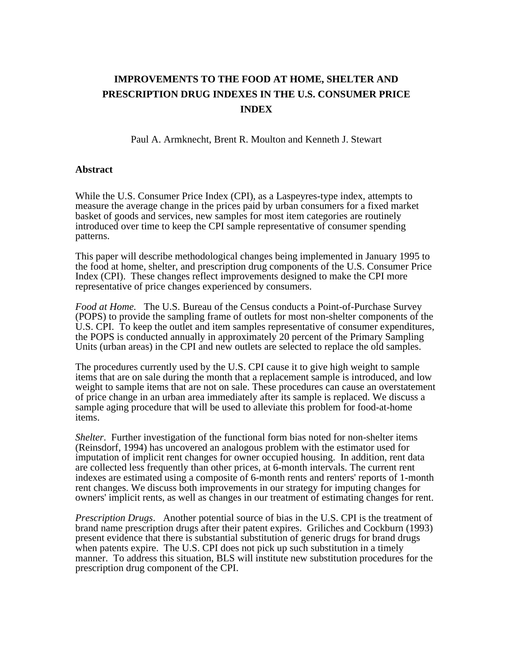# **IMPROVEMENTS TO THE FOOD AT HOME, SHELTER AND PRESCRIPTION DRUG INDEXES IN THE U.S. CONSUMER PRICE INDEX**

Paul A. Armknecht, Brent R. Moulton and Kenneth J. Stewart

# **Abstract**

While the U.S. Consumer Price Index (CPI), as a Laspeyres-type index, attempts to measure the average change in the prices paid by urban consumers for a fixed market basket of goods and services, new samples for most item categories are routinely introduced over time to keep the CPI sample representative of consumer spending patterns.

This paper will describe methodological changes being implemented in January 1995 to the food at home, shelter, and prescription drug components of the U.S. Consumer Price Index (CPI). These changes reflect improvements designed to make the CPI more representative of price changes experienced by consumers.

*Food at Home.* The U.S. Bureau of the Census conducts a Point-of-Purchase Survey (POPS) to provide the sampling frame of outlets for most non-shelter components of the U.S. CPI. To keep the outlet and item samples representative of consumer expenditures, the POPS is conducted annually in approximately 20 percent of the Primary Sampling Units (urban areas) in the CPI and new outlets are selected to replace the old samples.

The procedures currently used by the U.S. CPI cause it to give high weight to sample items that are on sale during the month that a replacement sample is introduced, and low weight to sample items that are not on sale. These procedures can cause an overstatement of price change in an urban area immediately after its sample is replaced. We discuss a sample aging procedure that will be used to alleviate this problem for food-at-home items.

*Shelter*. Further investigation of the functional form bias noted for non-shelter items (Reinsdorf, 1994) has uncovered an analogous problem with the estimator used for imputation of implicit rent changes for owner occupied housing. In addition, rent data are collected less frequently than other prices, at 6-month intervals. The current rent indexes are estimated using a composite of 6-month rents and renters' reports of 1-month rent changes. We discuss both improvements in our strategy for imputing changes for owners' implicit rents, as well as changes in our treatment of estimating changes for rent.

*Prescription Drugs*. Another potential source of bias in the U.S. CPI is the treatment of brand name prescription drugs after their patent expires. Griliches and Cockburn (1993) present evidence that there is substantial substitution of generic drugs for brand drugs when patents expire. The U.S. CPI does not pick up such substitution in a timely manner. To address this situation, BLS will institute new substitution procedures for the prescription drug component of the CPI.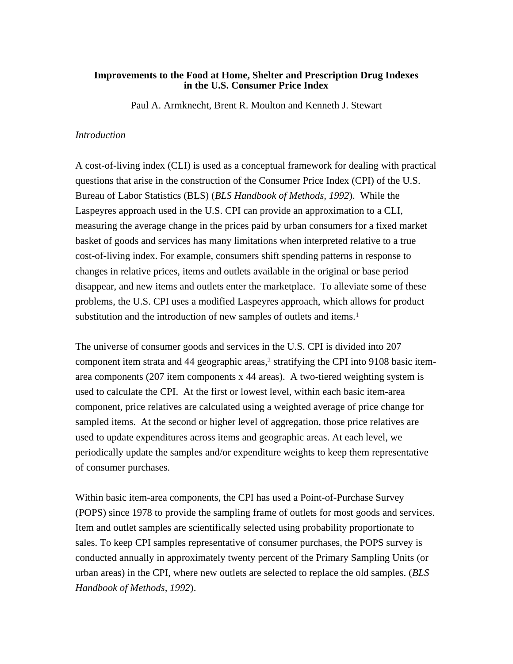# **Improvements to the Food at Home, Shelter and Prescription Drug Indexes in the U.S. Consumer Price Index**

Paul A. Armknecht, Brent R. Moulton and Kenneth J. Stewart

# *Introduction*

A cost-of-living index (CLI) is used as a conceptual framework for dealing with practical questions that arise in the construction of the Consumer Price Index (CPI) of the U.S. Bureau of Labor Statistics (BLS) (*BLS Handbook of Methods, 1992*). While the Laspeyres approach used in the U.S. CPI can provide an approximation to a CLI, measuring the average change in the prices paid by urban consumers for a fixed market basket of goods and services has many limitations when interpreted relative to a true cost-of-living index. For example, consumers shift spending patterns in response to changes in relative prices, items and outlets available in the original or base period disappear, and new items and outlets enter the marketplace. To alleviate some of these problems, the U.S. CPI uses a modified Laspeyres approach, which allows for product substitution and the introduction of new samples of outlets and items.<sup>1</sup>

The universe of consumer goods and services in the U.S. CPI is divided into 207 component item strata and 44 geographic areas, $2$  stratifying the CPI into 9108 basic itemarea components (207 item components x 44 areas). A two-tiered weighting system is used to calculate the CPI. At the first or lowest level, within each basic item-area component, price relatives are calculated using a weighted average of price change for sampled items. At the second or higher level of aggregation, those price relatives are used to update expenditures across items and geographic areas. At each level, we periodically update the samples and/or expenditure weights to keep them representative of consumer purchases.

Within basic item-area components, the CPI has used a Point-of-Purchase Survey (POPS) since 1978 to provide the sampling frame of outlets for most goods and services. Item and outlet samples are scientifically selected using probability proportionate to sales. To keep CPI samples representative of consumer purchases, the POPS survey is conducted annually in approximately twenty percent of the Primary Sampling Units (or urban areas) in the CPI, where new outlets are selected to replace the old samples. (*BLS Handbook of Methods, 1992*).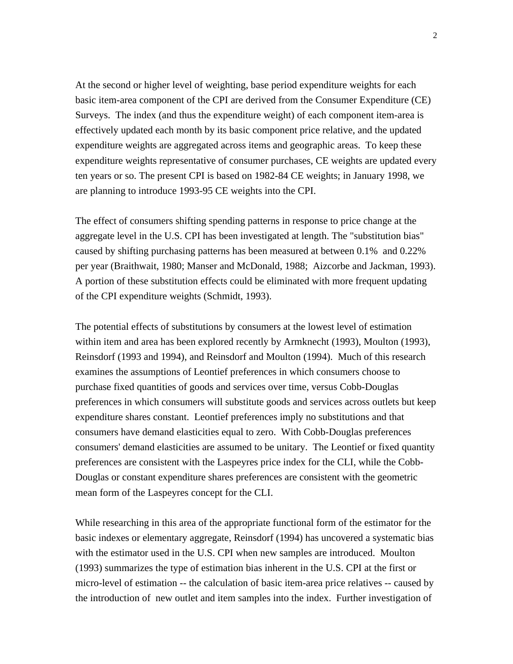At the second or higher level of weighting, base period expenditure weights for each basic item-area component of the CPI are derived from the Consumer Expenditure (CE) Surveys. The index (and thus the expenditure weight) of each component item-area is effectively updated each month by its basic component price relative, and the updated expenditure weights are aggregated across items and geographic areas. To keep these expenditure weights representative of consumer purchases, CE weights are updated every ten years or so. The present CPI is based on 1982-84 CE weights; in January 1998, we are planning to introduce 1993-95 CE weights into the CPI.

The effect of consumers shifting spending patterns in response to price change at the aggregate level in the U.S. CPI has been investigated at length. The "substitution bias" caused by shifting purchasing patterns has been measured at between 0.1% and 0.22% per year (Braithwait, 1980; Manser and McDonald, 1988; Aizcorbe and Jackman, 1993). A portion of these substitution effects could be eliminated with more frequent updating of the CPI expenditure weights (Schmidt, 1993).

The potential effects of substitutions by consumers at the lowest level of estimation within item and area has been explored recently by Armknecht (1993), Moulton (1993), Reinsdorf (1993 and 1994), and Reinsdorf and Moulton (1994). Much of this research examines the assumptions of Leontief preferences in which consumers choose to purchase fixed quantities of goods and services over time, versus Cobb-Douglas preferences in which consumers will substitute goods and services across outlets but keep expenditure shares constant. Leontief preferences imply no substitutions and that consumers have demand elasticities equal to zero. With Cobb-Douglas preferences consumers' demand elasticities are assumed to be unitary. The Leontief or fixed quantity preferences are consistent with the Laspeyres price index for the CLI, while the Cobb-Douglas or constant expenditure shares preferences are consistent with the geometric mean form of the Laspeyres concept for the CLI.

While researching in this area of the appropriate functional form of the estimator for the basic indexes or elementary aggregate, Reinsdorf (1994) has uncovered a systematic bias with the estimator used in the U.S. CPI when new samples are introduced. Moulton (1993) summarizes the type of estimation bias inherent in the U.S. CPI at the first or micro-level of estimation -- the calculation of basic item-area price relatives -- caused by the introduction of new outlet and item samples into the index. Further investigation of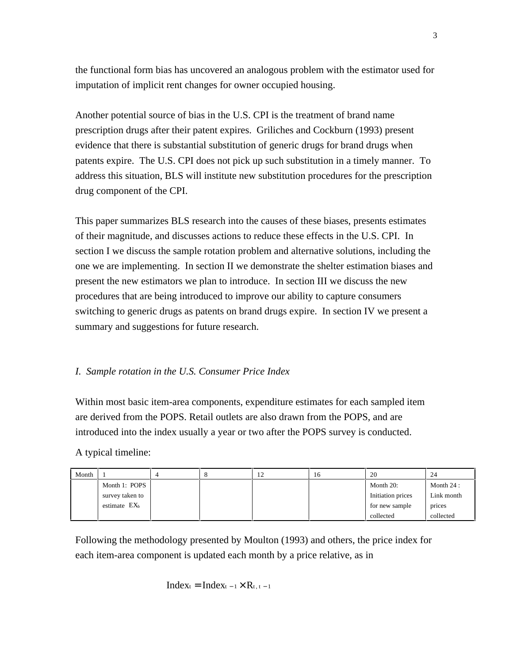the functional form bias has uncovered an analogous problem with the estimator used for imputation of implicit rent changes for owner occupied housing.

Another potential source of bias in the U.S. CPI is the treatment of brand name prescription drugs after their patent expires. Griliches and Cockburn (1993) present evidence that there is substantial substitution of generic drugs for brand drugs when patents expire. The U.S. CPI does not pick up such substitution in a timely manner. To address this situation, BLS will institute new substitution procedures for the prescription drug component of the CPI.

This paper summarizes BLS research into the causes of these biases, presents estimates of their magnitude, and discusses actions to reduce these effects in the U.S. CPI. In section I we discuss the sample rotation problem and alternative solutions, including the one we are implementing. In section II we demonstrate the shelter estimation biases and present the new estimators we plan to introduce. In section III we discuss the new procedures that are being introduced to improve our ability to capture consumers switching to generic drugs as patents on brand drugs expire. In section IV we present a summary and suggestions for future research.

# *I. Sample rotation in the U.S. Consumer Price Index*

Within most basic item-area components, expenditure estimates for each sampled item are derived from the POPS. Retail outlets are also drawn from the POPS, and are introduced into the index usually a year or two after the POPS survey is conducted.

A typical timeline:

| Month |                          |  | 1∠ | 16 | 20                | 24          |
|-------|--------------------------|--|----|----|-------------------|-------------|
|       | Month 1: POPS            |  |    |    | Month $20$ :      | Month $24:$ |
|       | survey taken to          |  |    |    | Initiation prices | Link month  |
|       | estimate EX <sub>b</sub> |  |    |    | for new sample    | prices      |
|       |                          |  |    |    | collected         | collected   |

Following the methodology presented by Moulton (1993) and others, the price index for each item-area component is updated each month by a price relative, as in

$$
Index_t = Index_{t-1} \times R_{t,\,t-1}
$$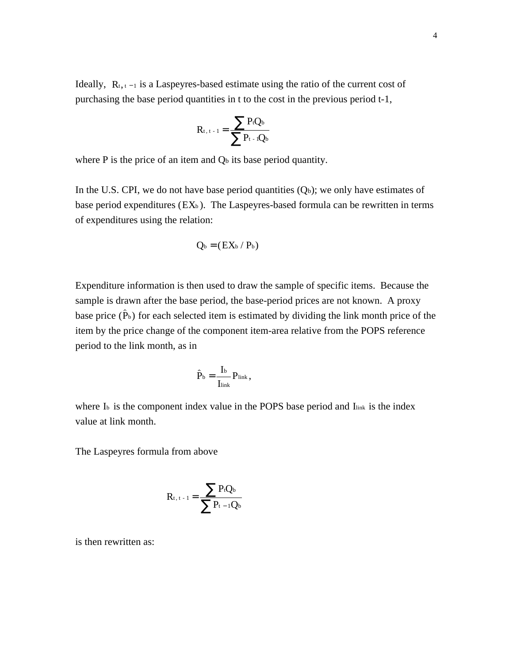Ideally,  $R_{t,t-1}$  is a Laspeyres-based estimate using the ratio of the current cost of purchasing the base period quantities in t to the cost in the previous period t-1,

$$
R_{t,\,t+1}=\frac{\displaystyle\sum P_tQ_b}{\displaystyle\sum P_{t-1}Q_b}
$$

where  $P$  is the price of an item and  $Q<sub>b</sub>$  its base period quantity.

In the U.S. CPI, we do not have base period quantities  $(Q_b)$ ; we only have estimates of base period expenditures  $(EX_b)$ . The Laspeyres-based formula can be rewritten in terms of expenditures using the relation:

$$
Q_{\text{b}} = (EX_{\text{b}} / P_{\text{b}})
$$

Expenditure information is then used to draw the sample of specific items. Because the sample is drawn after the base period, the base-period prices are not known. A proxy base price  $(\hat{P}_b)$  for each selected item is estimated by dividing the link month price of the item by the price change of the component item-area relative from the POPS reference period to the link month, as in

$$
\hat{P}_b = \frac{I_b}{I_{\text{link}}} P_{\text{link}},
$$

where I<sub>b</sub> is the component index value in the POPS base period and Ilink is the index value at link month.

The Laspeyres formula from above

$$
R_{t,\,t+1}=\frac{\displaystyle\sum P_tQ_b}{\displaystyle\sum P_{t-1}Q_b}
$$

is then rewritten as: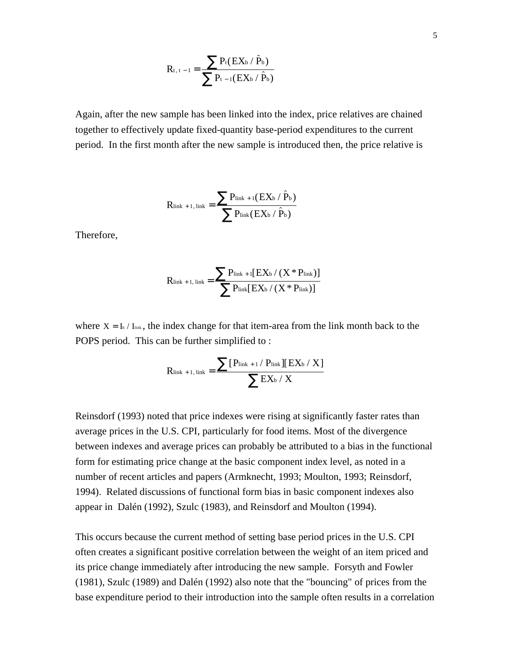$$
R_{t, t-1} = \frac{\sum P_t(EX_b / \hat{P}_b)}{\sum P_{t-1}(EX_b / \hat{P}_b)}
$$

Again, after the new sample has been linked into the index, price relatives are chained together to effectively update fixed-quantity base-period expenditures to the current period. In the first month after the new sample is introduced then, the price relative is

$$
R_{\text{link}+1,\text{link}} = \frac{\sum P_{\text{link}+1}(EX_b \, / \, \hat{P}_b)}{\sum P_{\text{link}}(EX_b \, / \, \hat{P}_b)}
$$

Therefore,

$$
R_{\text{link}+1,\text{ link}} = \frac{\sum P_{\text{link}+1} [EX_{b} / (X * P_{\text{link}})]}{\sum P_{\text{link}} [EX_{b} / (X * P_{\text{link}})]}
$$

where  $X = I_b / I_{\text{link}}$ , the index change for that item-area from the link month back to the POPS period. This can be further simplified to :

$$
R_{\text{link}+1,\text{link}} = \frac{\sum [P_{\text{link}+1}/P_{\text{link}}][EX_{b}/X]}{\sum EX_{b}/X}
$$

Reinsdorf (1993) noted that price indexes were rising at significantly faster rates than average prices in the U.S. CPI, particularly for food items. Most of the divergence between indexes and average prices can probably be attributed to a bias in the functional form for estimating price change at the basic component index level, as noted in a number of recent articles and papers (Armknecht, 1993; Moulton, 1993; Reinsdorf, 1994). Related discussions of functional form bias in basic component indexes also appear in Dalén (1992), Szulc (1983), and Reinsdorf and Moulton (1994).

This occurs because the current method of setting base period prices in the U.S. CPI often creates a significant positive correlation between the weight of an item priced and its price change immediately after introducing the new sample. Forsyth and Fowler (1981), Szulc (1989) and Dalén (1992) also note that the "bouncing" of prices from the base expenditure period to their introduction into the sample often results in a correlation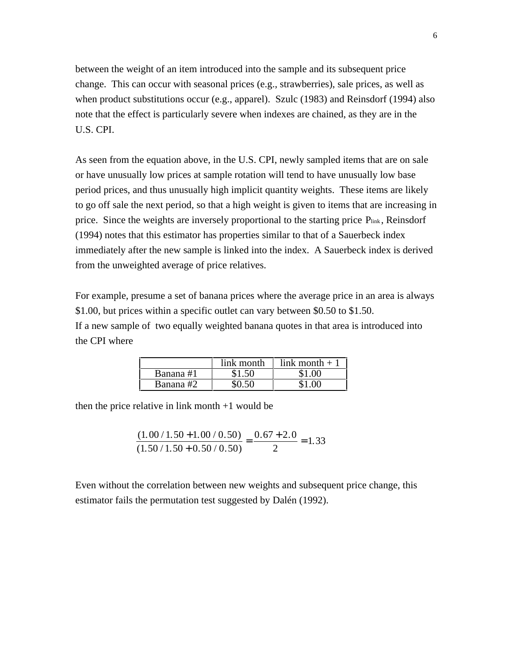between the weight of an item introduced into the sample and its subsequent price change. This can occur with seasonal prices (e.g., strawberries), sale prices, as well as when product substitutions occur (e.g., apparel). Szulc (1983) and Reinsdorf (1994) also note that the effect is particularly severe when indexes are chained, as they are in the U.S. CPI.

As seen from the equation above, in the U.S. CPI, newly sampled items that are on sale or have unusually low prices at sample rotation will tend to have unusually low base period prices, and thus unusually high implicit quantity weights. These items are likely to go off sale the next period, so that a high weight is given to items that are increasing in price. Since the weights are inversely proportional to the starting price Plink, Reinsdorf (1994) notes that this estimator has properties similar to that of a Sauerbeck index immediately after the new sample is linked into the index. A Sauerbeck index is derived from the unweighted average of price relatives.

For example, presume a set of banana prices where the average price in an area is always \$1.00, but prices within a specific outlet can vary between \$0.50 to \$1.50. If a new sample of two equally weighted banana quotes in that area is introduced into the CPI where

|           | link month | link month $+1$ |
|-----------|------------|-----------------|
| Banana #1 |            |                 |
| Banana #2 |            |                 |

then the price relative in link month  $+1$  would be

$$
\frac{(1.00/1.50+1.00/0.50)}{(1.50/1.50+0.50/0.50)} = \frac{0.67+2.0}{2} = 1.33
$$

Even without the correlation between new weights and subsequent price change, this estimator fails the permutation test suggested by Dalén (1992).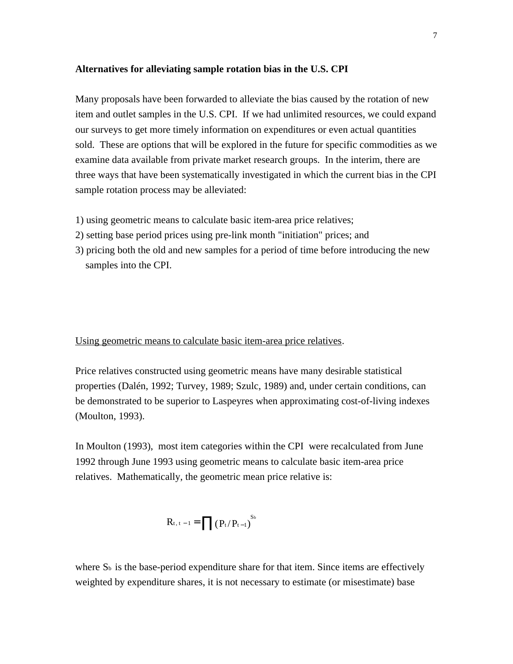## **Alternatives for alleviating sample rotation bias in the U.S. CPI**

Many proposals have been forwarded to alleviate the bias caused by the rotation of new item and outlet samples in the U.S. CPI. If we had unlimited resources, we could expand our surveys to get more timely information on expenditures or even actual quantities sold. These are options that will be explored in the future for specific commodities as we examine data available from private market research groups. In the interim, there are three ways that have been systematically investigated in which the current bias in the CPI sample rotation process may be alleviated:

- 1) using geometric means to calculate basic item-area price relatives;
- 2) setting base period prices using pre-link month "initiation" prices; and
- 3) pricing both the old and new samples for a period of time before introducing the new samples into the CPI.

Using geometric means to calculate basic item-area price relatives.

Price relatives constructed using geometric means have many desirable statistical properties (Dalén, 1992; Turvey, 1989; Szulc, 1989) and, under certain conditions, can be demonstrated to be superior to Laspeyres when approximating cost-of-living indexes (Moulton, 1993).

In Moulton (1993), most item categories within the CPI were recalculated from June 1992 through June 1993 using geometric means to calculate basic item-area price relatives. Mathematically, the geometric mean price relative is:

$$
R_{t, t-1} = \prod (P_t/P_{t-1})^{S_b}
$$

where  $S<sub>b</sub>$  is the base-period expenditure share for that item. Since items are effectively weighted by expenditure shares, it is not necessary to estimate (or misestimate) base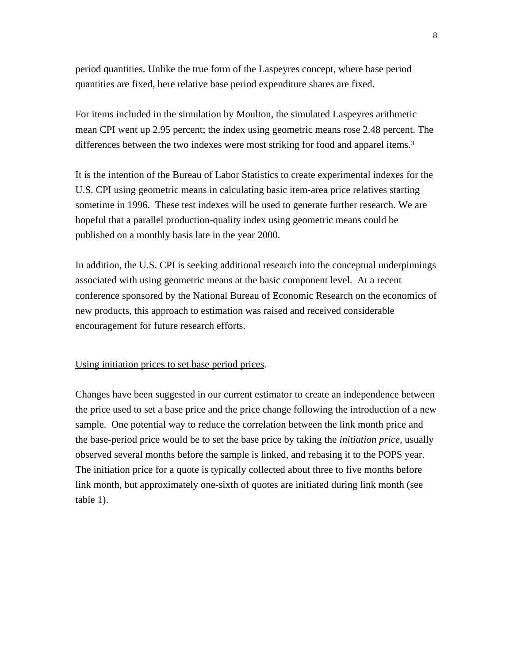period quantities. Unlike the true form of the Laspeyres concept, where base period quantities are fixed, here relative base period expenditure shares are fixed.

For items included in the simulation by Moulton, the simulated Laspeyres arithmetic mean CPI went up 2.95 percent; the index using geometric means rose 2.48 percent. The differences between the two indexes were most striking for food and apparel items.<sup>3</sup>

It is the intention of the Bureau of Labor Statistics to create experimental indexes for the U.S. CPI using geometric means in calculating basic item-area price relatives starting sometime in 1996. These test indexes will be used to generate further research. We are hopeful that a parallel production-quality index using geometric means could be published on a monthly basis late in the year 2000.

In addition, the U.S. CPI is seeking additional research into the conceptual underpinnings associated with using geometric means at the basic component level. At a recent conference sponsored by the National Bureau of Economic Research on the economics of new products, this approach to estimation was raised and received considerable encouragement for future research efforts.

# Using initiation prices to set base period prices.

Changes have been suggested in our current estimator to create an independence between the price used to set a base price and the price change following the introduction of a new sample. One potential way to reduce the correlation between the link month price and the base-period price would be to set the base price by taking the *initiation price,* usually observed several months before the sample is linked, and rebasing it to the POPS year. The initiation price for a quote is typically collected about three to five months before link month, but approximately one-sixth of quotes are initiated during link month (see table 1).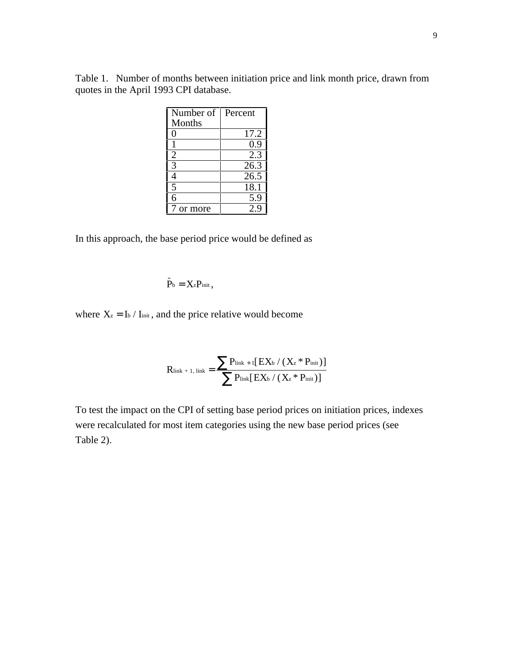Table 1. Number of months between initiation price and link month price, drawn from quotes in the April 1993 CPI database.

| Number of      | Percent |
|----------------|---------|
| <b>Months</b>  |         |
| 0              | 17.2    |
|                | 0.9     |
| 2              | 2.3     |
| 3              | 26.3    |
| 4              | 26.5    |
| $\overline{5}$ | 18.1    |
| 6              | 5.9     |
| or more        | 2 g     |

In this approach, the base period price would be defined as  $\ddot{\phantom{0}}$ 

$$
P_b = X_z P_{\text{init}},
$$

where  $X_z = I_b / I_{\text{init}}$ , and the price relative would become

$$
R_{\text{link}+1,\text{ link}} = \frac{\sum P_{\text{link}+1} [EX_{b} / (X_{z} * P_{\text{init}})]}{\sum P_{\text{link}} [EX_{b} / (X_{z} * P_{\text{init}})]}
$$

To test the impact on the CPI of setting base period prices on initiation prices, indexes were recalculated for most item categories using the new base period prices (see Table 2).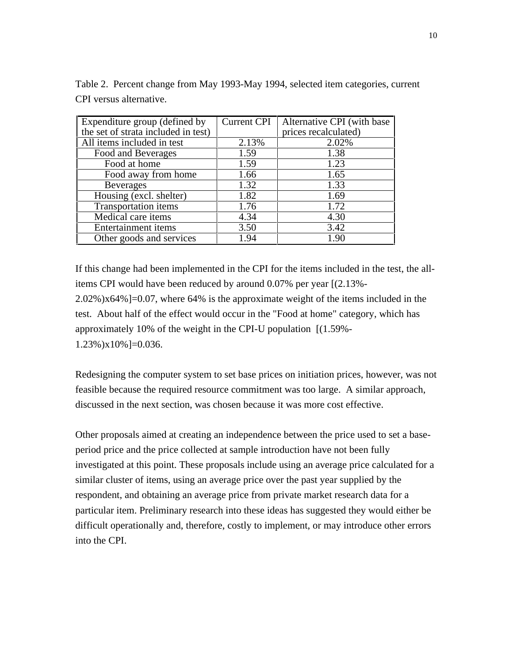| Expenditure group (defined by       | <b>Current CPI</b> | Alternative CPI (with base |
|-------------------------------------|--------------------|----------------------------|
| the set of strata included in test) |                    | prices recalculated)       |
| All items included in test          | 2.13%              | 2.02%                      |
| Food and Beverages                  | 1.59               | 1.38                       |
| Food at home                        | 1.59               | 1.23                       |
| Food away from home                 | 1.66               | 1.65                       |
| <b>Beverages</b>                    | 1.32               | 1.33                       |
| Housing (excl. shelter)             | 1.82               | 1.69                       |
| <b>Transportation items</b>         | 1.76               | 1.72                       |
| Medical care items                  | 4.34               | 4.30                       |
| <b>Entertainment items</b>          | 3.50               | 3.42                       |
| Other goods and services            | 1.94               | 1.90                       |

Table 2. Percent change from May 1993-May 1994, selected item categories, current CPI versus alternative.

If this change had been implemented in the CPI for the items included in the test, the allitems CPI would have been reduced by around 0.07% per year [(2.13%- 2.02%)x64%]=0.07, where 64% is the approximate weight of the items included in the test. About half of the effect would occur in the "Food at home" category, which has approximately 10% of the weight in the CPI-U population [(1.59%- 1.23%)x10%]=0.036.

Redesigning the computer system to set base prices on initiation prices, however, was not feasible because the required resource commitment was too large. A similar approach, discussed in the next section, was chosen because it was more cost effective.

Other proposals aimed at creating an independence between the price used to set a baseperiod price and the price collected at sample introduction have not been fully investigated at this point. These proposals include using an average price calculated for a similar cluster of items, using an average price over the past year supplied by the respondent, and obtaining an average price from private market research data for a particular item. Preliminary research into these ideas has suggested they would either be difficult operationally and, therefore, costly to implement, or may introduce other errors into the CPI.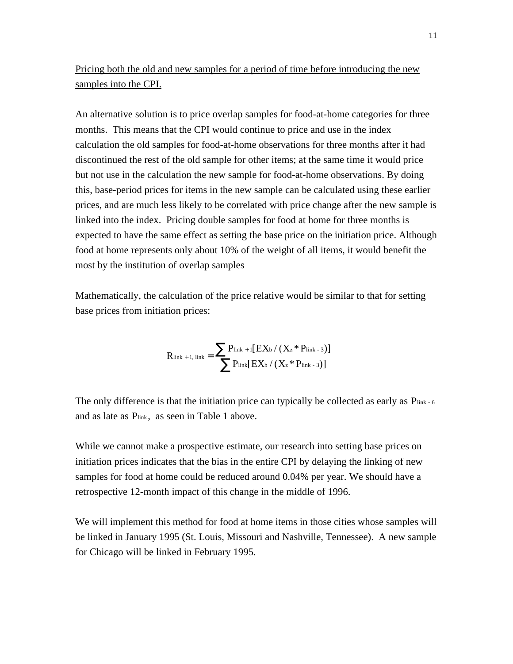Pricing both the old and new samples for a period of time before introducing the new samples into the CPI.

An alternative solution is to price overlap samples for food-at-home categories for three months. This means that the CPI would continue to price and use in the index calculation the old samples for food-at-home observations for three months after it had discontinued the rest of the old sample for other items; at the same time it would price but not use in the calculation the new sample for food-at-home observations. By doing this, base-period prices for items in the new sample can be calculated using these earlier prices, and are much less likely to be correlated with price change after the new sample is linked into the index. Pricing double samples for food at home for three months is expected to have the same effect as setting the base price on the initiation price. Although food at home represents only about 10% of the weight of all items, it would benefit the most by the institution of overlap samples

Mathematically, the calculation of the price relative would be similar to that for setting base prices from initiation prices:

$$
R_{\text{link}+1,\text{ link}} = \frac{\sum P_{\text{link}+1} [EX_{b} / (X_{z} * P_{\text{link}-3})]}{\sum P_{\text{link}} [EX_{b} / (X_{z} * P_{\text{link}-3})]}
$$

The only difference is that the initiation price can typically be collected as early as  $P_{\text{link-6}}$ and as late as P<sub>link</sub>, as seen in Table 1 above.

While we cannot make a prospective estimate, our research into setting base prices on initiation prices indicates that the bias in the entire CPI by delaying the linking of new samples for food at home could be reduced around 0.04% per year. We should have a retrospective 12-month impact of this change in the middle of 1996.

We will implement this method for food at home items in those cities whose samples will be linked in January 1995 (St. Louis, Missouri and Nashville, Tennessee). A new sample for Chicago will be linked in February 1995.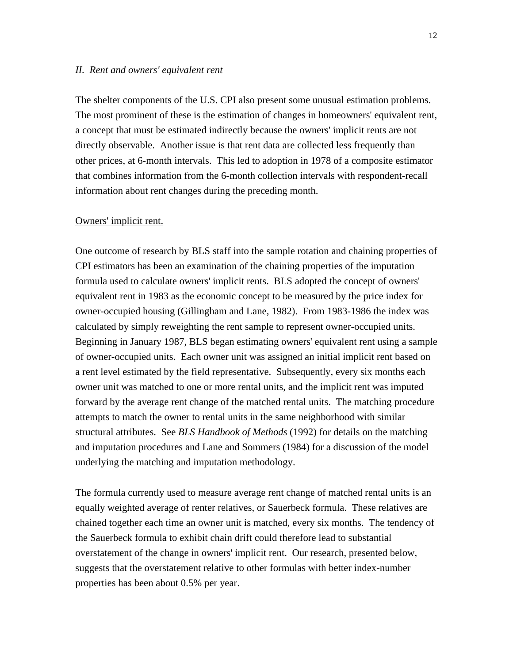#### *II. Rent and owners' equivalent rent*

The shelter components of the U.S. CPI also present some unusual estimation problems. The most prominent of these is the estimation of changes in homeowners' equivalent rent, a concept that must be estimated indirectly because the owners' implicit rents are not directly observable. Another issue is that rent data are collected less frequently than other prices, at 6-month intervals. This led to adoption in 1978 of a composite estimator that combines information from the 6-month collection intervals with respondent-recall information about rent changes during the preceding month.

## Owners' implicit rent.

One outcome of research by BLS staff into the sample rotation and chaining properties of CPI estimators has been an examination of the chaining properties of the imputation formula used to calculate owners' implicit rents. BLS adopted the concept of owners' equivalent rent in 1983 as the economic concept to be measured by the price index for owner-occupied housing (Gillingham and Lane, 1982). From 1983-1986 the index was calculated by simply reweighting the rent sample to represent owner-occupied units. Beginning in January 1987, BLS began estimating owners' equivalent rent using a sample of owner-occupied units. Each owner unit was assigned an initial implicit rent based on a rent level estimated by the field representative. Subsequently, every six months each owner unit was matched to one or more rental units, and the implicit rent was imputed forward by the average rent change of the matched rental units. The matching procedure attempts to match the owner to rental units in the same neighborhood with similar structural attributes. See *BLS Handbook of Methods* (1992) for details on the matching and imputation procedures and Lane and Sommers (1984) for a discussion of the model underlying the matching and imputation methodology.

The formula currently used to measure average rent change of matched rental units is an equally weighted average of renter relatives, or Sauerbeck formula. These relatives are chained together each time an owner unit is matched, every six months. The tendency of the Sauerbeck formula to exhibit chain drift could therefore lead to substantial overstatement of the change in owners' implicit rent. Our research, presented below, suggests that the overstatement relative to other formulas with better index-number properties has been about 0.5% per year.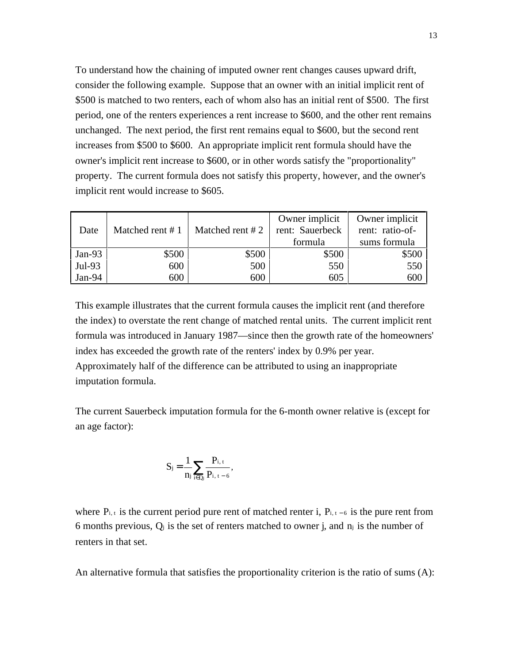To understand how the chaining of imputed owner rent changes causes upward drift, consider the following example. Suppose that an owner with an initial implicit rent of \$500 is matched to two renters, each of whom also has an initial rent of \$500. The first period, one of the renters experiences a rent increase to \$600, and the other rent remains unchanged. The next period, the first rent remains equal to \$600, but the second rent increases from \$500 to \$600. An appropriate implicit rent formula should have the owner's implicit rent increase to \$600, or in other words satisfy the "proportionality" property. The current formula does not satisfy this property, however, and the owner's implicit rent would increase to \$605.

| Date     | Matched rent $# 1$ | Matched rent $#2$ | Owner implicit<br>rent: Sauerbeck<br>formula | Owner implicit<br>rent: ratio-of-<br>sums formula |
|----------|--------------------|-------------------|----------------------------------------------|---------------------------------------------------|
| $Jan-93$ | \$500              | \$500             | \$500                                        | \$500                                             |
| Jul-93   | 600                | 500               | 550                                          | 550                                               |
| Jan-94   | 600                | 600               | 605                                          | 600                                               |

This example illustrates that the current formula causes the implicit rent (and therefore the index) to overstate the rent change of matched rental units. The current implicit rent formula was introduced in January 1987—since then the growth rate of the homeowners' index has exceeded the growth rate of the renters' index by 0.9% per year. Approximately half of the difference can be attributed to using an inappropriate imputation formula.

The current Sauerbeck imputation formula for the 6-month owner relative is (except for an age factor):

$$
S_j=\frac{1}{n_j}\sum_{i\in Q_j}\frac{P_{i,\,t}}{P_{i,\,t\,-\,6}},
$$

where  $P_{i,t}$  is the current period pure rent of matched renter i,  $P_{i,t-6}$  is the pure rent from 6 months previous, Qj is the set of renters matched to owner j*,* and nj is the number of renters in that set.

An alternative formula that satisfies the proportionality criterion is the ratio of sums (A):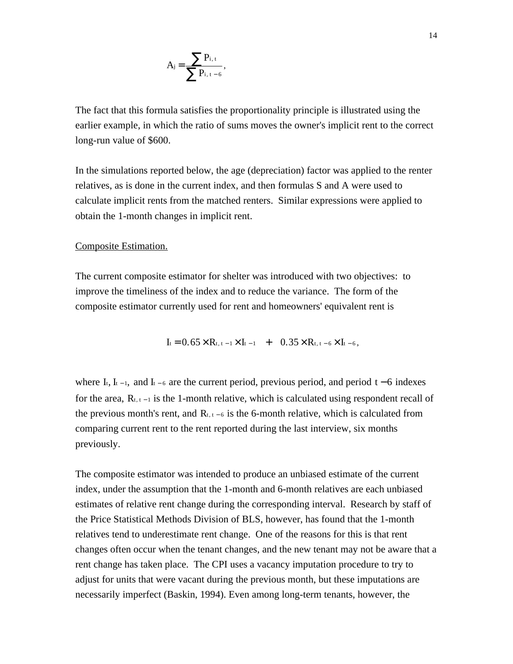$$
A_j\!=\!\frac{\displaystyle\sum P_{i,\,t}}{\displaystyle\sum P_{i,\,t-\,6}},
$$

The fact that this formula satisfies the proportionality principle is illustrated using the earlier example, in which the ratio of sums moves the owner's implicit rent to the correct long-run value of \$600.

In the simulations reported below, the age (depreciation) factor was applied to the renter relatives, as is done in the current index, and then formulas S and A were used to calculate implicit rents from the matched renters. Similar expressions were applied to obtain the 1-month changes in implicit rent.

# Composite Estimation.

The current composite estimator for shelter was introduced with two objectives: to improve the timeliness of the index and to reduce the variance. The form of the composite estimator currently used for rent and homeowners' equivalent rent is

 $I_t = 0.65 \times R_{t, t-1} \times I_{t-1} + 0.35 \times R_{t, t-6} \times I_{t-6}$ 

where I<sub>t</sub>, I<sub>t-1</sub>, and I<sub>t-6</sub> are the current period, previous period, and period t – 6 indexes for the area,  $R_{t,t-1}$  is the 1-month relative, which is calculated using respondent recall of the previous month's rent, and  $R_{t, t - 6}$  is the 6-month relative, which is calculated from comparing current rent to the rent reported during the last interview, six months previously.

The composite estimator was intended to produce an unbiased estimate of the current index, under the assumption that the 1-month and 6-month relatives are each unbiased estimates of relative rent change during the corresponding interval. Research by staff of the Price Statistical Methods Division of BLS, however, has found that the 1-month relatives tend to underestimate rent change. One of the reasons for this is that rent changes often occur when the tenant changes, and the new tenant may not be aware that a rent change has taken place. The CPI uses a vacancy imputation procedure to try to adjust for units that were vacant during the previous month, but these imputations are necessarily imperfect (Baskin, 1994). Even among long-term tenants, however, the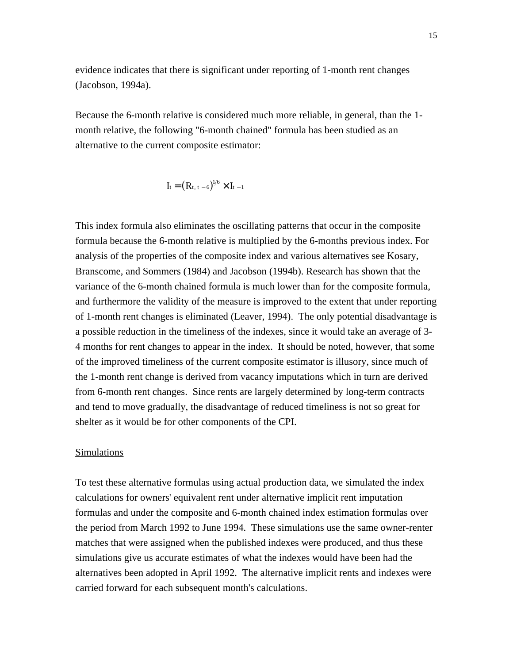evidence indicates that there is significant under reporting of 1-month rent changes (Jacobson, 1994a).

Because the 6-month relative is considered much more reliable, in general, than the 1 month relative, the following "6-month chained" formula has been studied as an alternative to the current composite estimator:

$$
I_t = (R_{t, t-6})^{l/6} \times I_{t-1}
$$

This index formula also eliminates the oscillating patterns that occur in the composite formula because the 6-month relative is multiplied by the 6-months previous index. For analysis of the properties of the composite index and various alternatives see Kosary, Branscome, and Sommers (1984) and Jacobson (1994b). Research has shown that the variance of the 6-month chained formula is much lower than for the composite formula, and furthermore the validity of the measure is improved to the extent that under reporting of 1-month rent changes is eliminated (Leaver, 1994). The only potential disadvantage is a possible reduction in the timeliness of the indexes, since it would take an average of 3- 4 months for rent changes to appear in the index. It should be noted, however, that some of the improved timeliness of the current composite estimator is illusory, since much of the 1-month rent change is derived from vacancy imputations which in turn are derived from 6-month rent changes. Since rents are largely determined by long-term contracts and tend to move gradually, the disadvantage of reduced timeliness is not so great for shelter as it would be for other components of the CPI.

# **Simulations**

To test these alternative formulas using actual production data, we simulated the index calculations for owners' equivalent rent under alternative implicit rent imputation formulas and under the composite and 6-month chained index estimation formulas over the period from March 1992 to June 1994. These simulations use the same owner-renter matches that were assigned when the published indexes were produced, and thus these simulations give us accurate estimates of what the indexes would have been had the alternatives been adopted in April 1992. The alternative implicit rents and indexes were carried forward for each subsequent month's calculations.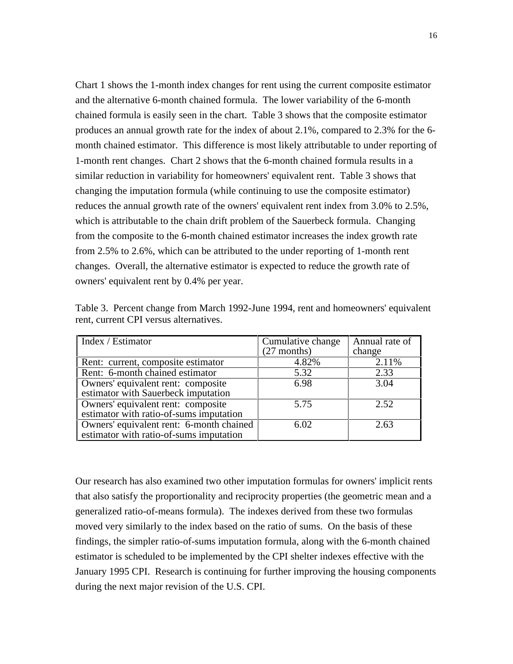Chart 1 shows the 1-month index changes for rent using the current composite estimator and the alternative 6-month chained formula. The lower variability of the 6-month chained formula is easily seen in the chart. Table 3 shows that the composite estimator produces an annual growth rate for the index of about 2.1%, compared to 2.3% for the 6 month chained estimator. This difference is most likely attributable to under reporting of 1-month rent changes. Chart 2 shows that the 6-month chained formula results in a similar reduction in variability for homeowners' equivalent rent. Table 3 shows that changing the imputation formula (while continuing to use the composite estimator) reduces the annual growth rate of the owners' equivalent rent index from 3.0% to 2.5%, which is attributable to the chain drift problem of the Sauerbeck formula. Changing from the composite to the 6-month chained estimator increases the index growth rate from 2.5% to 2.6%, which can be attributed to the under reporting of 1-month rent changes. Overall, the alternative estimator is expected to reduce the growth rate of owners' equivalent rent by 0.4% per year.

| Index / Estimator                        | Cumulative change | Annual rate of |
|------------------------------------------|-------------------|----------------|
|                                          | $(27$ months)     | change         |
| Rent: current, composite estimator       | 4.82%             | 2.11%          |
| Rent: 6-month chained estimator          | 5.32              | 2.33           |
| Owners' equivalent rent: composite       | 6.98              | 3.04           |
| estimator with Sauerbeck imputation      |                   |                |
| Owners' equivalent rent: composite       | 5.75              | 2.52           |
| estimator with ratio-of-sums imputation  |                   |                |
| Owners' equivalent rent: 6-month chained | 6.02              | 2.63           |
| estimator with ratio-of-sums imputation  |                   |                |

Table 3. Percent change from March 1992-June 1994, rent and homeowners' equivalent rent, current CPI versus alternatives.

Our research has also examined two other imputation formulas for owners' implicit rents that also satisfy the proportionality and reciprocity properties (the geometric mean and a generalized ratio-of-means formula). The indexes derived from these two formulas moved very similarly to the index based on the ratio of sums. On the basis of these findings, the simpler ratio-of-sums imputation formula, along with the 6-month chained estimator is scheduled to be implemented by the CPI shelter indexes effective with the January 1995 CPI. Research is continuing for further improving the housing components during the next major revision of the U.S. CPI.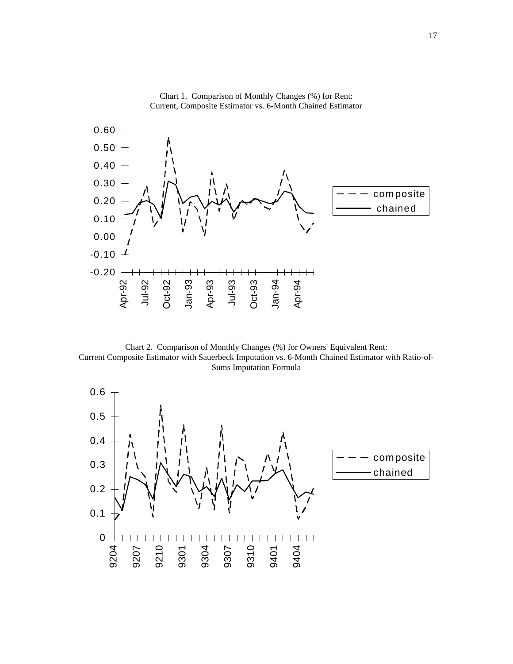

Chart 1. Comparison of Monthly Changes (%) for Rent: Current, Composite Estimator vs. 6-Month Chained Estimator

Chart 2. Comparison of Monthly Changes (%) for Owners' Equivalent Rent: Current Composite Estimator with Sauerbeck Imputation vs. 6-Month Chained Estimator with Ratio-of-Sums Imputation Formula

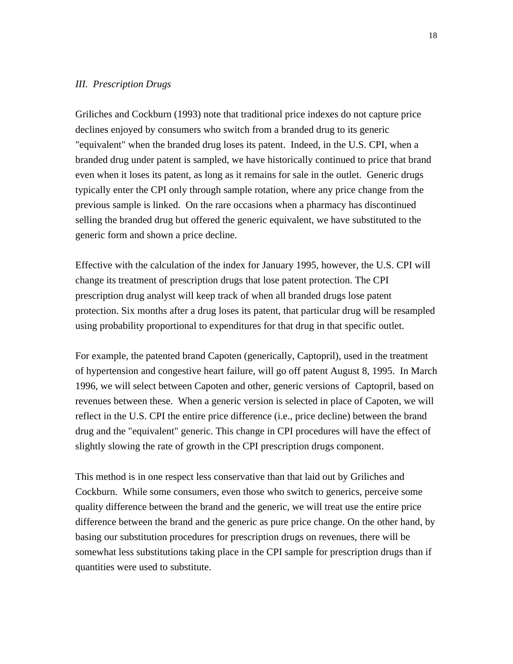### *III. Prescription Drugs*

Griliches and Cockburn (1993) note that traditional price indexes do not capture price declines enjoyed by consumers who switch from a branded drug to its generic "equivalent" when the branded drug loses its patent. Indeed, in the U.S. CPI, when a branded drug under patent is sampled, we have historically continued to price that brand even when it loses its patent, as long as it remains for sale in the outlet. Generic drugs typically enter the CPI only through sample rotation, where any price change from the previous sample is linked. On the rare occasions when a pharmacy has discontinued selling the branded drug but offered the generic equivalent, we have substituted to the generic form and shown a price decline.

Effective with the calculation of the index for January 1995, however, the U.S. CPI will change its treatment of prescription drugs that lose patent protection. The CPI prescription drug analyst will keep track of when all branded drugs lose patent protection. Six months after a drug loses its patent, that particular drug will be resampled using probability proportional to expenditures for that drug in that specific outlet.

For example, the patented brand Capoten (generically, Captopril), used in the treatment of hypertension and congestive heart failure, will go off patent August 8, 1995. In March 1996, we will select between Capoten and other, generic versions of Captopril, based on revenues between these. When a generic version is selected in place of Capoten, we will reflect in the U.S. CPI the entire price difference (i.e., price decline) between the brand drug and the "equivalent" generic. This change in CPI procedures will have the effect of slightly slowing the rate of growth in the CPI prescription drugs component.

This method is in one respect less conservative than that laid out by Griliches and Cockburn. While some consumers, even those who switch to generics, perceive some quality difference between the brand and the generic, we will treat use the entire price difference between the brand and the generic as pure price change. On the other hand, by basing our substitution procedures for prescription drugs on revenues, there will be somewhat less substitutions taking place in the CPI sample for prescription drugs than if quantities were used to substitute.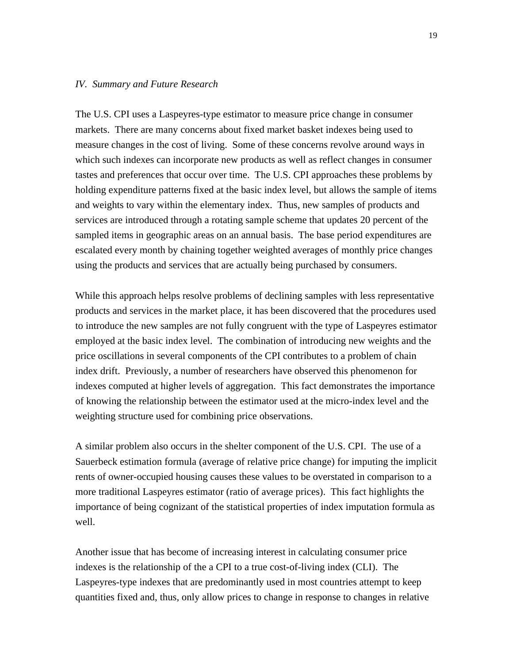#### *IV. Summary and Future Research*

The U.S. CPI uses a Laspeyres-type estimator to measure price change in consumer markets. There are many concerns about fixed market basket indexes being used to measure changes in the cost of living. Some of these concerns revolve around ways in which such indexes can incorporate new products as well as reflect changes in consumer tastes and preferences that occur over time. The U.S. CPI approaches these problems by holding expenditure patterns fixed at the basic index level, but allows the sample of items and weights to vary within the elementary index. Thus, new samples of products and services are introduced through a rotating sample scheme that updates 20 percent of the sampled items in geographic areas on an annual basis. The base period expenditures are escalated every month by chaining together weighted averages of monthly price changes using the products and services that are actually being purchased by consumers.

While this approach helps resolve problems of declining samples with less representative products and services in the market place, it has been discovered that the procedures used to introduce the new samples are not fully congruent with the type of Laspeyres estimator employed at the basic index level. The combination of introducing new weights and the price oscillations in several components of the CPI contributes to a problem of chain index drift. Previously, a number of researchers have observed this phenomenon for indexes computed at higher levels of aggregation. This fact demonstrates the importance of knowing the relationship between the estimator used at the micro-index level and the weighting structure used for combining price observations.

A similar problem also occurs in the shelter component of the U.S. CPI. The use of a Sauerbeck estimation formula (average of relative price change) for imputing the implicit rents of owner-occupied housing causes these values to be overstated in comparison to a more traditional Laspeyres estimator (ratio of average prices). This fact highlights the importance of being cognizant of the statistical properties of index imputation formula as well.

Another issue that has become of increasing interest in calculating consumer price indexes is the relationship of the a CPI to a true cost-of-living index (CLI). The Laspeyres-type indexes that are predominantly used in most countries attempt to keep quantities fixed and, thus, only allow prices to change in response to changes in relative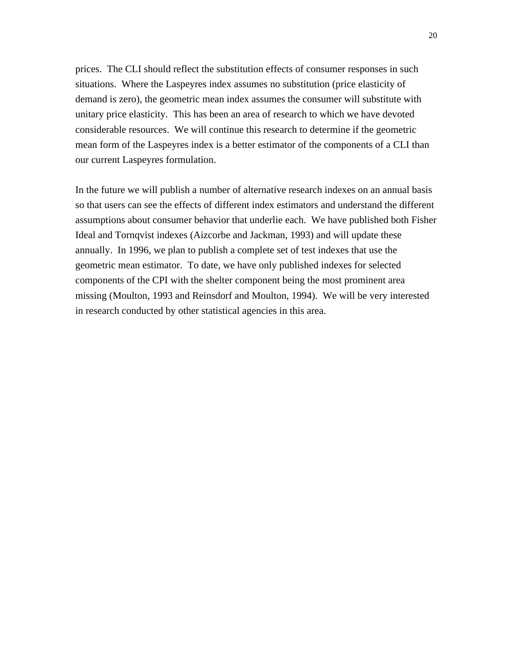prices. The CLI should reflect the substitution effects of consumer responses in such situations. Where the Laspeyres index assumes no substitution (price elasticity of demand is zero), the geometric mean index assumes the consumer will substitute with unitary price elasticity. This has been an area of research to which we have devoted considerable resources. We will continue this research to determine if the geometric mean form of the Laspeyres index is a better estimator of the components of a CLI than our current Laspeyres formulation.

In the future we will publish a number of alternative research indexes on an annual basis so that users can see the effects of different index estimators and understand the different assumptions about consumer behavior that underlie each. We have published both Fisher Ideal and Tornqvist indexes (Aizcorbe and Jackman, 1993) and will update these annually. In 1996, we plan to publish a complete set of test indexes that use the geometric mean estimator. To date, we have only published indexes for selected components of the CPI with the shelter component being the most prominent area missing (Moulton, 1993 and Reinsdorf and Moulton, 1994). We will be very interested in research conducted by other statistical agencies in this area.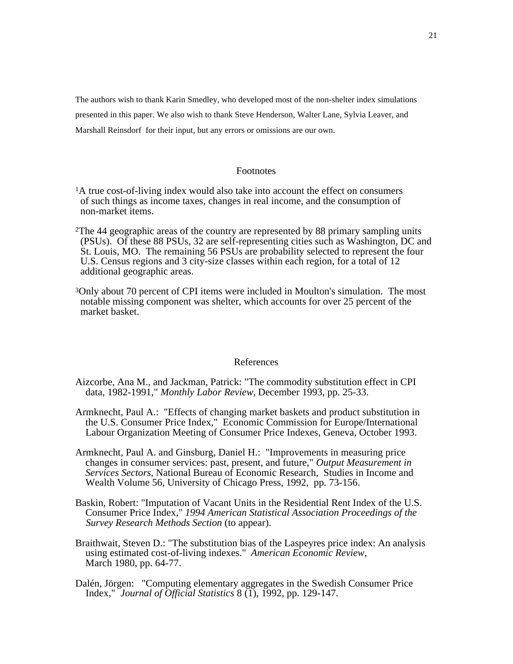The authors wish to thank Karin Smedley, who developed most of the non-shelter index simulations presented in this paper. We also wish to thank Steve Henderson, Walter Lane, Sylvia Leaver, and Marshall Reinsdorf for their input, but any errors or omissions are our own.

#### Footnotes

- <sup>1</sup>A true cost-of-living index would also take into account the effect on consumers of such things as income taxes, changes in real income, and the consumption of non-market items.
- 2The 44 geographic areas of the country are represented by 88 primary sampling units (PSUs). Of these 88 PSUs, 32 are self-representing cities such as Washington, DC and St. Louis, MO. The remaining 56 PSUs are probability selected to represent the four U.S. Census regions and 3 city-size classes within each region, for a total of 12 additional geographic areas.
- 3Only about 70 percent of CPI items were included in Moulton's simulation. The most notable missing component was shelter, which accounts for over 25 percent of the market basket.

#### References

- Aizcorbe, Ana M., and Jackman, Patrick: "The commodity substitution effect in CPI data, 1982-1991," *Monthly Labor Review,* December 1993, pp. 25-33.
- Armknecht, Paul A.: "Effects of changing market baskets and product substitution in the U.S. Consumer Price Index," Economic Commission for Europe/International Labour Organization Meeting of Consumer Price Indexes, Geneva, October 1993.
- Armknecht, Paul A. and Ginsburg, Daniel H.: "Improvements in measuring price changes in consumer services: past, present, and future," *Output Measurement in Services Sectors*, National Bureau of Economic Research, Studies in Income and Wealth Volume 56, University of Chicago Press, 1992, pp. 73-156.
- Baskin, Robert: "Imputation of Vacant Units in the Residential Rent Index of the U.S. Consumer Price Index," *1994 American Statistical Association Proceedings of the Survey Research Methods Section* (to appear).
- Braithwait, Steven D.: "The substitution bias of the Laspeyres price index: An analysis using estimated cost-of-living indexes." *American Economic Review*, March 1980, pp. 64-77.
- Dalén, Jörgen: "Computing elementary aggregates in the Swedish Consumer Price Index," *Journal of Official Statistics* 8 (1), 1992, pp. 129-147.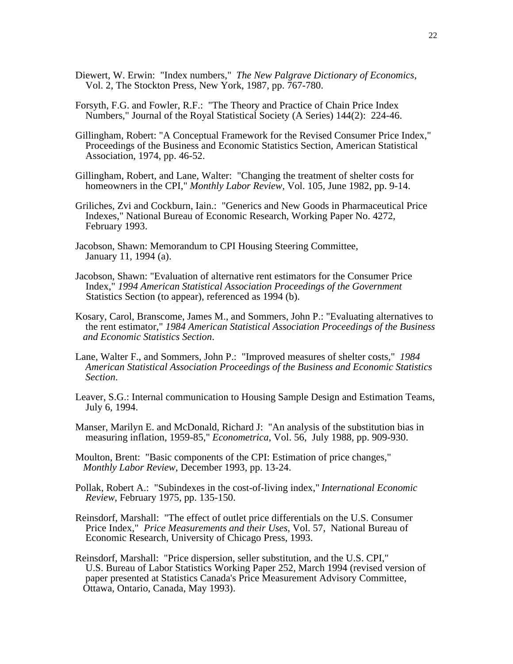- Diewert, W. Erwin: "Index numbers," *The New Palgrave Dictionary of Economics*, Vol. 2, The Stockton Press, New York, 1987, pp. 767-780.
- Forsyth, F.G. and Fowler, R.F.: "The Theory and Practice of Chain Price Index Numbers," Journal of the Royal Statistical Society (A Series) 144(2): 224-46.
- Gillingham, Robert: "A Conceptual Framework for the Revised Consumer Price Index," Proceedings of the Business and Economic Statistics Section, American Statistical Association, 1974, pp. 46-52.
- Gillingham, Robert, and Lane, Walter: "Changing the treatment of shelter costs for homeowners in the CPI," *Monthly Labor Review,* Vol. 105, June 1982, pp. 9-14.
- Griliches, Zvi and Cockburn, Iain.: "Generics and New Goods in Pharmaceutical Price Indexes," National Bureau of Economic Research, Working Paper No. 4272, February 1993.
- Jacobson, Shawn: Memorandum to CPI Housing Steering Committee, January 11, 1994 (a).
- Jacobson, Shawn: "Evaluation of alternative rent estimators for the Consumer Price Index," *1994 American Statistical Association Proceedings of the Government* Statistics Section (to appear), referenced as 1994 (b).
- Kosary, Carol, Branscome, James M., and Sommers, John P.: "Evaluating alternatives to the rent estimator," *1984 American Statistical Association Proceedings of the Business and Economic Statistics Section*.
- Lane, Walter F., and Sommers, John P.: "Improved measures of shelter costs," *1984 American Statistical Association Proceedings of the Business and Economic Statistics Section*.
- Leaver, S.G.: Internal communication to Housing Sample Design and Estimation Teams, July 6, 1994.
- Manser, Marilyn E. and McDonald, Richard J: "An analysis of the substitution bias in measuring inflation, 1959-85," *Econometrica*, Vol. 56, July 1988, pp. 909-930.
- Moulton, Brent: "Basic components of the CPI: Estimation of price changes," *Monthly Labor Review*, December 1993, pp. 13-24.
- Pollak, Robert A.: "Subindexes in the cost-of-living index," *International Economic Review*, February 1975, pp. 135-150.
- Reinsdorf, Marshall: "The effect of outlet price differentials on the U.S. Consumer Price Index," *Price Measurements and their Uses*, Vol. 57, National Bureau of Economic Research, University of Chicago Press, 1993.
- Reinsdorf, Marshall: "Price dispersion, seller substitution, and the U.S. CPI," U.S. Bureau of Labor Statistics Working Paper 252, March 1994 (revised version of paper presented at Statistics Canada's Price Measurement Advisory Committee, Ottawa, Ontario, Canada, May 1993).